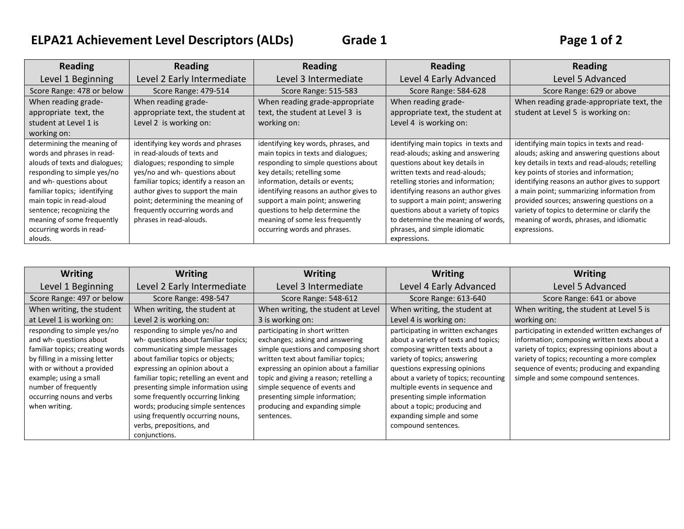## **ELPA21 Achievement Level Descriptors (ALDs) Grade 1 Page 1 of 2**

| <b>Reading</b>                 | <b>Reading</b>                        | <b>Reading</b>                         | <b>Reading</b>                       | <b>Reading</b>                                  |
|--------------------------------|---------------------------------------|----------------------------------------|--------------------------------------|-------------------------------------------------|
| Level 1 Beginning              | Level 2 Early Intermediate            | Level 3 Intermediate                   | Level 4 Early Advanced               | Level 5 Advanced                                |
| Score Range: 478 or below      | Score Range: 479-514                  | Score Range: 515-583                   | Score Range: 584-628                 | Score Range: 629 or above                       |
| When reading grade-            | When reading grade-                   | When reading grade-appropriate         | When reading grade-                  | When reading grade-appropriate text, the        |
| appropriate text, the          | appropriate text, the student at      | text, the student at Level 3 is        | appropriate text, the student at     | student at Level 5 is working on:               |
| student at Level 1 is          | Level 2 is working on:                | working on:                            | Level 4 is working on:               |                                                 |
| working on:                    |                                       |                                        |                                      |                                                 |
| determining the meaning of     | identifying key words and phrases     | identifying key words, phrases, and    | identifying main topics in texts and | identifying main topics in texts and read-      |
| words and phrases in read-     | in read-alouds of texts and           | main topics in texts and dialogues;    | read-alouds; asking and answering    | alouds; asking and answering questions about    |
| alouds of texts and dialogues; | dialogues; responding to simple       | responding to simple questions about   | questions about key details in       | key details in texts and read-alouds; retelling |
| responding to simple yes/no    | yes/no and wh- questions about        | key details; retelling some            | written texts and read-alouds;       | key points of stories and information;          |
| and wh- questions about        | familiar topics; identify a reason an | information, details or events;        | retelling stories and information;   | identifying reasons an author gives to support  |
| familiar topics; identifying   | author gives to support the main      | identifying reasons an author gives to | identifying reasons an author gives  | a main point; summarizing information from      |
| main topic in read-aloud       | point; determining the meaning of     | support a main point; answering        | to support a main point; answering   | provided sources; answering questions on a      |
| sentence; recognizing the      | frequently occurring words and        | questions to help determine the        | questions about a variety of topics  | variety of topics to determine or clarify the   |
| meaning of some frequently     | phrases in read-alouds.               | meaning of some less frequently        | to determine the meaning of words,   | meaning of words, phrases, and idiomatic        |
| occurring words in read-       |                                       | occurring words and phrases.           | phrases, and simple idiomatic        | expressions.                                    |
| alouds.                        |                                       |                                        | expressions.                         |                                                 |

| <b>Writing</b>                  | <b>Writing</b>                         | <b>Writing</b>                         | <b>Writing</b>                        | <b>Writing</b>                                 |
|---------------------------------|----------------------------------------|----------------------------------------|---------------------------------------|------------------------------------------------|
| Level 1 Beginning               | Level 2 Early Intermediate             | Level 3 Intermediate                   | Level 4 Early Advanced                | Level 5 Advanced                               |
| Score Range: 497 or below       | Score Range: 498-547                   | Score Range: 548-612                   | Score Range: 613-640                  | Score Range: 641 or above                      |
| When writing, the student       | When writing, the student at           | When writing, the student at Level     | When writing, the student at          | When writing, the student at Level 5 is        |
| at Level 1 is working on:       | Level 2 is working on:                 | 3 is working on:                       | Level 4 is working on:                | working on:                                    |
| responding to simple yes/no     | responding to simple yes/no and        | participating in short written         | participating in written exchanges    | participating in extended written exchanges of |
| and wh- questions about         | wh- questions about familiar topics;   | exchanges; asking and answering        | about a variety of texts and topics;  | information; composing written texts about a   |
| familiar topics; creating words | communicating simple messages          | simple questions and composing short   | composing written texts about a       | variety of topics; expressing opinions about a |
| by filling in a missing letter  | about familiar topics or objects;      | written text about familiar topics;    | variety of topics; answering          | variety of topics; recounting a more complex   |
| with or without a provided      | expressing an opinion about a          | expressing an opinion about a familiar | questions expressing opinions         | sequence of events; producing and expanding    |
| example; using a small          | familiar topic; retelling an event and | topic and giving a reason; retelling a | about a variety of topics; recounting | simple and some compound sentences.            |
| number of frequently            | presenting simple information using    | simple sequence of events and          | multiple events in sequence and       |                                                |
| occurring nouns and verbs       | some frequently occurring linking      | presenting simple information;         | presenting simple information         |                                                |
| when writing.                   | words; producing simple sentences      | producing and expanding simple         | about a topic; producing and          |                                                |
|                                 | using frequently occurring nouns,      | sentences.                             | expanding simple and some             |                                                |
|                                 | verbs, prepositions, and               |                                        | compound sentences.                   |                                                |
|                                 | conjunctions.                          |                                        |                                       |                                                |